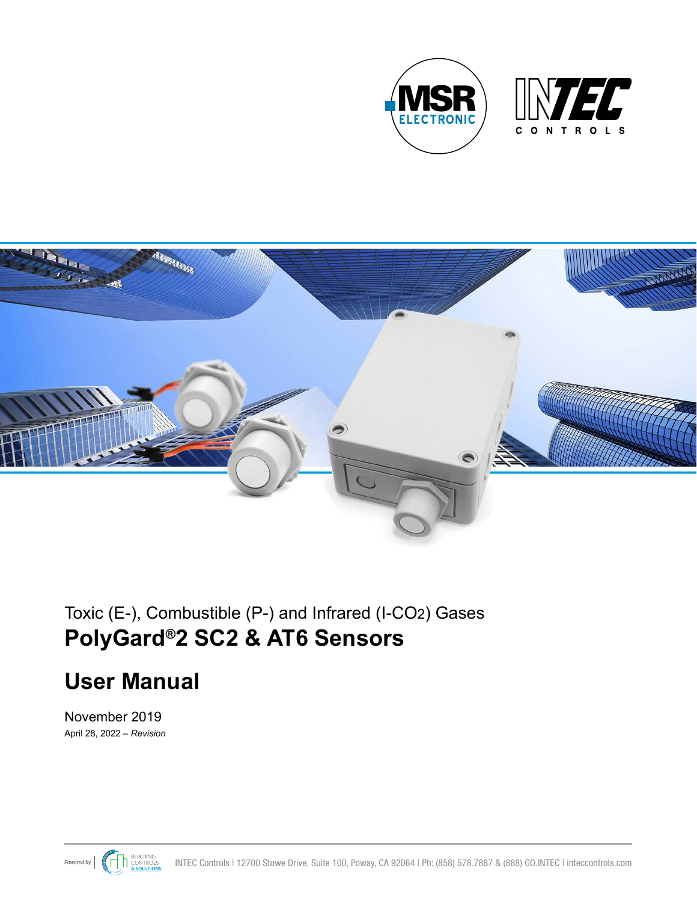



# Toxic (E-), Combustible (P-) and Infrared (I-CO2) Gases **PolyGard®2 SC2 & AT6 Sensors**

# **User Manual**

April 28, 2022 – *Revision* November 2019

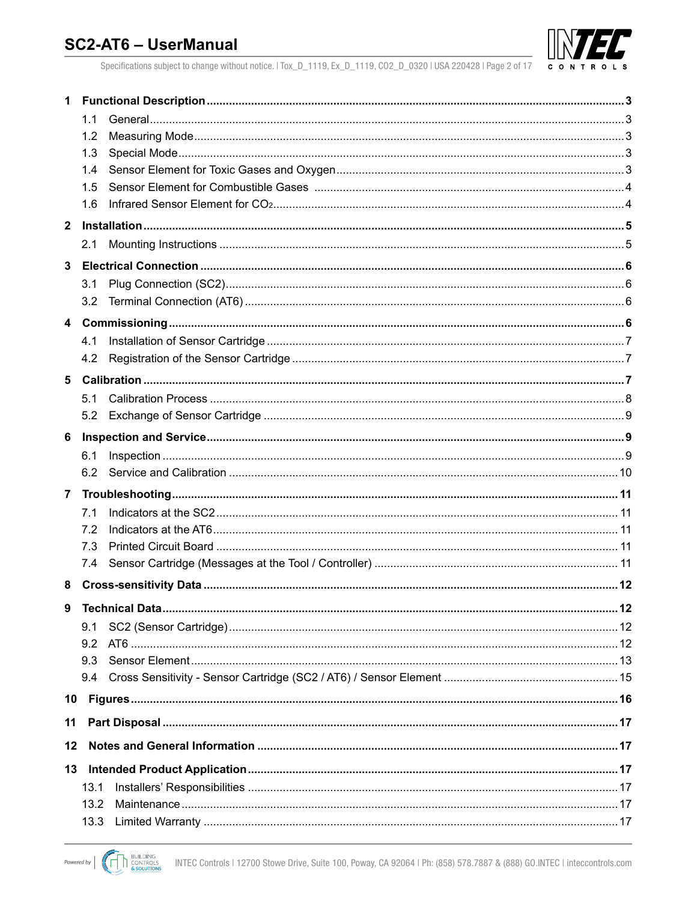

Specifications subject to change without notice. | Tox\_D\_1119, Ex\_D\_1119, CO2\_D\_0320 | USA 220428 | Page 2 of 17

| $\mathbf 1$             |      |  |
|-------------------------|------|--|
|                         | 1.1  |  |
|                         | 1.2  |  |
|                         | 1.3  |  |
|                         | 1.4  |  |
|                         | 1.5  |  |
|                         | 1.6  |  |
| $\mathbf{2}$            |      |  |
|                         | 2.1  |  |
| 3                       |      |  |
|                         | 3.1  |  |
|                         | 3.2  |  |
| $\overline{\mathbf{4}}$ |      |  |
|                         | 4.1  |  |
|                         | 4.2  |  |
| 5                       |      |  |
|                         | 5.1  |  |
|                         | 5.2  |  |
| 6                       |      |  |
|                         | 6.1  |  |
|                         | 6.2  |  |
| $\overline{7}$          |      |  |
|                         | 7.1  |  |
|                         | 7.2  |  |
|                         | 7.3  |  |
|                         | 7.4  |  |
| 8                       |      |  |
| 9                       |      |  |
|                         | 9.1  |  |
|                         | 9.2  |  |
|                         | 9.3  |  |
|                         | 9.4  |  |
| 10                      |      |  |
| 11                      |      |  |
| 12                      |      |  |
| 13                      |      |  |
|                         | 13.1 |  |
|                         | 13.2 |  |
|                         | 13.3 |  |
|                         |      |  |

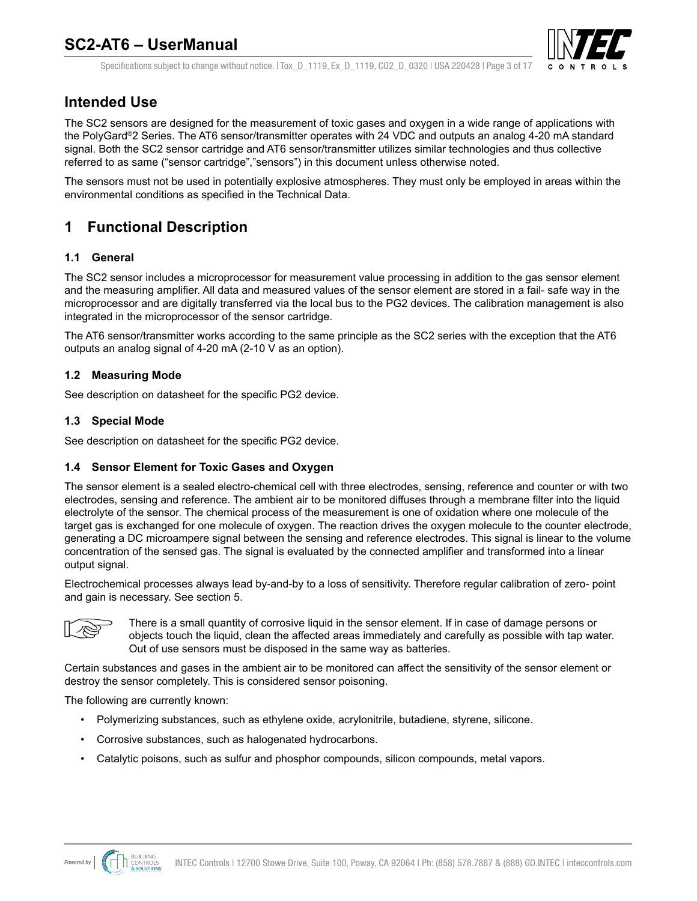

Specifications subject to change without notice. | Tox D 1119, Ex D 1119, CO2 D 0320 | USA 220428 | Page 3 of 17

## <span id="page-2-0"></span>**Intended Use**

The SC2 sensors are designed for the measurement of toxic gases and oxygen in a wide range of applications with the PolyGard®2 Series. The AT6 sensor/transmitter operates with 24 VDC and outputs an analog 4-20 mA standard signal. Both the SC2 sensor cartridge and AT6 sensor/transmitter utilizes similar technologies and thus collective referred to as same ("sensor cartridge","sensors") in this document unless otherwise noted.

The sensors must not be used in potentially explosive atmospheres. They must only be employed in areas within the environmental conditions as specified in the Technical Data.

# **1 Functional Description**

### **1.1 General**

The SC2 sensor includes a microprocessor for measurement value processing in addition to the gas sensor element and the measuring amplifier. All data and measured values of the sensor element are stored in a fail- safe way in the microprocessor and are digitally transferred via the local bus to the PG2 devices. The calibration management is also integrated in the microprocessor of the sensor cartridge.

The AT6 sensor/transmitter works according to the same principle as the SC2 series with the exception that the AT6 outputs an analog signal of 4-20 mA (2-10 V as an option).

### **1.2 Measuring Mode**

See description on datasheet for the specific PG2 device.

#### **1.3 Special Mode**

See description on datasheet for the specific PG2 device.

### **1.4 Sensor Element for Toxic Gases and Oxygen**

The sensor element is a sealed electro-chemical cell with three electrodes, sensing, reference and counter or with two electrodes, sensing and reference. The ambient air to be monitored diffuses through a membrane filter into the liquid electrolyte of the sensor. The chemical process of the measurement is one of oxidation where one molecule of the target gas is exchanged for one molecule of oxygen. The reaction drives the oxygen molecule to the counter electrode, generating a DC microampere signal between the sensing and reference electrodes. This signal is linear to the volume concentration of the sensed gas. The signal is evaluated by the connected amplifier and transformed into a linear output signal.

Electrochemical processes always lead by-and-by to a loss of sensitivity. Therefore regular calibration of zero- point and gain is necessary. See section 5.



There is a small quantity of corrosive liquid in the sensor element. If in case of damage persons or objects touch the liquid, clean the affected areas immediately and carefully as possible with tap water. Out of use sensors must be disposed in the same way as batteries.

Certain substances and gases in the ambient air to be monitored can affect the sensitivity of the sensor element or destroy the sensor completely. This is considered sensor poisoning.

The following are currently known:

- Polymerizing substances, such as ethylene oxide, acrylonitrile, butadiene, styrene, silicone.
- Corrosive substances, such as halogenated hydrocarbons.
- Catalytic poisons, such as sulfur and phosphor compounds, silicon compounds, metal vapors.

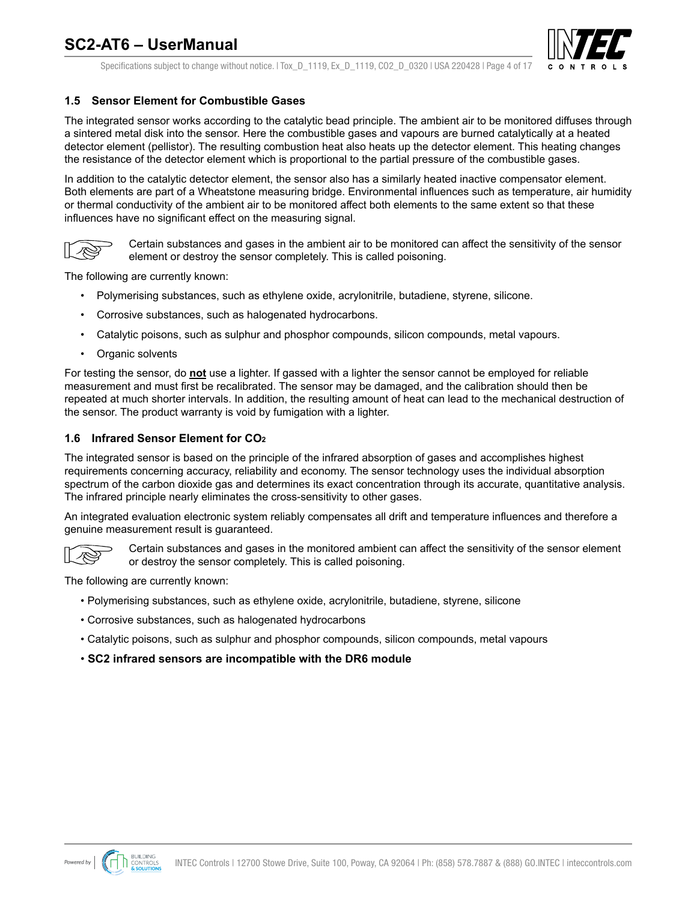

Specifications subject to change without notice. | Tox D 1119, Ex D 1119, CO2 D 0320 | USA 220428 | Page 4 of 17

#### <span id="page-3-0"></span>**1.5 Sensor Element for Combustible Gases**

The integrated sensor works according to the catalytic bead principle. The ambient air to be monitored diffuses through a sintered metal disk into the sensor. Here the combustible gases and vapours are burned catalytically at a heated detector element (pellistor). The resulting combustion heat also heats up the detector element. This heating changes the resistance of the detector element which is proportional to the partial pressure of the combustible gases.

In addition to the catalytic detector element, the sensor also has a similarly heated inactive compensator element. Both elements are part of a Wheatstone measuring bridge. Environmental influences such as temperature, air humidity or thermal conductivity of the ambient air to be monitored affect both elements to the same extent so that these influences have no significant effect on the measuring signal.



Certain substances and gases in the ambient air to be monitored can affect the sensitivity of the sensor element or destroy the sensor completely. This is called poisoning.

The following are currently known:

- Polymerising substances, such as ethylene oxide, acrylonitrile, butadiene, styrene, silicone.
- Corrosive substances, such as halogenated hydrocarbons.
- Catalytic poisons, such as sulphur and phosphor compounds, silicon compounds, metal vapours.
- Organic solvents

For testing the sensor, do **not** use a lighter. If gassed with a lighter the sensor cannot be employed for reliable measurement and must first be recalibrated. The sensor may be damaged, and the calibration should then be repeated at much shorter intervals. In addition, the resulting amount of heat can lead to the mechanical destruction of the sensor. The product warranty is void by fumigation with a lighter.

#### **1.6 Infrared Sensor Element for CO2**

The integrated sensor is based on the principle of the infrared absorption of gases and accomplishes highest requirements concerning accuracy, reliability and economy. The sensor technology uses the individual absorption spectrum of the carbon dioxide gas and determines its exact concentration through its accurate, quantitative analysis. The infrared principle nearly eliminates the cross-sensitivity to other gases.

An integrated evaluation electronic system reliably compensates all drift and temperature influences and therefore a genuine measurement result is guaranteed.



Certain substances and gases in the monitored ambient can affect the sensitivity of the sensor element or destroy the sensor completely. This is called poisoning.

The following are currently known:

- Polymerising substances, such as ethylene oxide, acrylonitrile, butadiene, styrene, silicone
- Corrosive substances, such as halogenated hydrocarbons
- Catalytic poisons, such as sulphur and phosphor compounds, silicon compounds, metal vapours
- **SC2 infrared sensors are incompatible with the DR6 module**

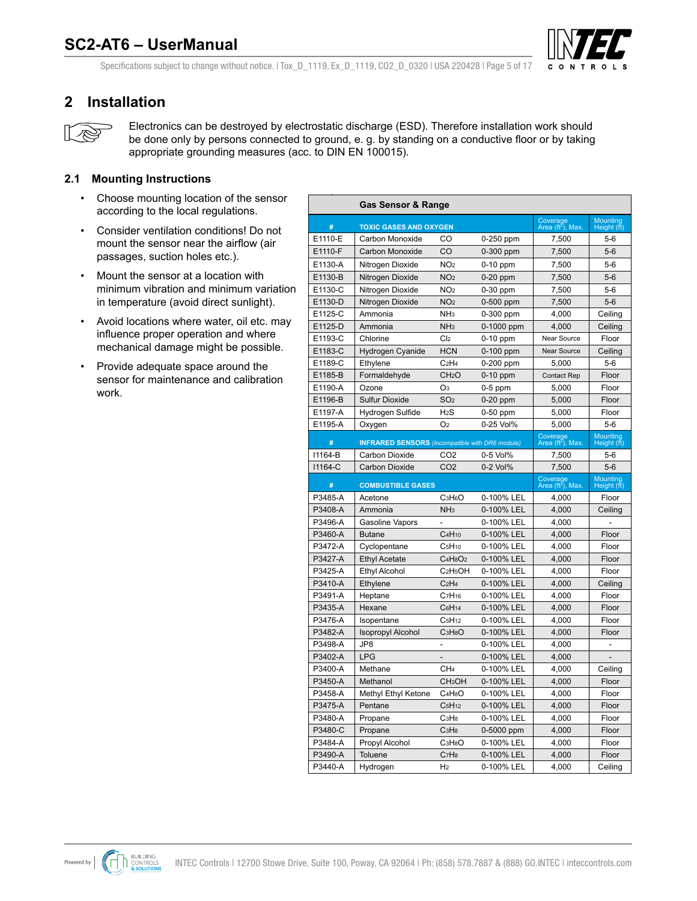

<span id="page-4-0"></span>Specifications subject to change without notice. | Tox D\_1119, Ex\_D\_1119, CO2\_D\_0320 | USA 220428 | Page 5 of 17

### **2 Installation**



Electronics can be destroyed by electrostatic discharge (ESD). Therefore installation work should be done only by persons connected to ground, e. g. by standing on a conductive floor or by taking appropriate grounding measures (acc. to DIN EN 100015).

### **2.1 Mounting Instructions**

- Choose mounting location of the sensor according to the local regulations.
- Consider ventilation conditions! Do not mount the sensor near the airflow (air passages, suction holes etc.).
- Mount the sensor at a location with minimum vibration and minimum variation in temperature (avoid direct sunlight).
- Avoid locations where water, oil etc. may influence proper operation and where mechanical damage might be possible.
- Provide adequate space around the sensor for maintenance and calibration work.

|         | <b>Gas Sensor &amp; Range</b>                          |                                              |             |                                           |                         |
|---------|--------------------------------------------------------|----------------------------------------------|-------------|-------------------------------------------|-------------------------|
| #       | <b>TOXIC GASES AND OXYGEN</b>                          |                                              |             | Coverage<br>Area (ft <sup>2</sup> ), Max. | Mounting<br>Height (ft) |
| E1110-E | Carbon Monoxide                                        | CO                                           | 0-250 ppm   | 7,500                                     | $5-6$                   |
| E1110-F | <b>Carbon Monoxide</b>                                 | CO                                           | $0-300$ ppm | 7,500                                     | $5-6$                   |
| E1130-A | Nitrogen Dioxide                                       | NO <sub>2</sub>                              | 0-10 ppm    | 7,500                                     | $5-6$                   |
| E1130-B | Nitrogen Dioxide                                       | NO <sub>2</sub>                              | $0-20$ ppm  | 7,500                                     | $5-6$                   |
| E1130-C | Nitrogen Dioxide                                       | NO <sub>2</sub>                              | 0-30 ppm    | 7,500                                     | $5-6$                   |
| E1130-D | Nitrogen Dioxide                                       | NO <sub>2</sub>                              | 0-500 ppm   | 7,500                                     | $5-6$                   |
| E1125-C | Ammonia                                                | NH <sub>3</sub>                              | 0-300 ppm   | 4,000                                     | Ceiling                 |
| E1125-D | Ammonia                                                | NH <sub>3</sub>                              | 0-1000 ppm  | 4,000                                     | Ceiling                 |
| E1193-C | Chlorine                                               | Cl <sub>2</sub>                              | 0-10 ppm    | Near Source                               | Floor                   |
| E1183-C | Hydrogen Cyanide                                       | <b>HCN</b>                                   | 0-100 ppm   | Near Source                               | Ceiling                 |
| E1189-C | Ethylene                                               | C <sub>2</sub> H <sub>4</sub>                | 0-200 ppm   | 5,000                                     | $5-6$                   |
| E1185-B | Formaldehyde                                           | CH <sub>2</sub> O                            | $0-10$ ppm  | Contact Rep                               | Floor                   |
| E1190-A | Ozone                                                  | O <sub>3</sub>                               | $0-5$ ppm   | 5,000                                     | Floor                   |
| E1196-B | <b>Sulfur Dioxide</b>                                  | SO <sub>2</sub>                              | $0-20$ ppm  | 5,000                                     | Floor                   |
| E1197-A | Hydrogen Sulfide                                       | H <sub>2</sub> S                             | 0-50 ppm    | 5,000                                     | Floor                   |
| E1195-A | Oxygen                                                 | O <sub>2</sub>                               | 0-25 Vol%   | 5,000                                     | $5-6$                   |
| #       | <b>INFRARED SENSORS</b> (Incompatible with DR6 module) |                                              |             | Coverage<br>Area (ft <sup>2</sup> ), Max. | Mounting<br>Height (ft) |
| 11164-B | Carbon Dioxide                                         | CO <sub>2</sub>                              | 0-5 Vol%    | 7,500                                     | $5-6$                   |
| 11164-C | <b>Carbon Dioxide</b>                                  | CO <sub>2</sub>                              | 0-2 Vol%    | 7,500                                     | $5-6$                   |
| #       | <b>COMBUSTIBLE GASES</b>                               |                                              |             | Coverage<br>Area (ft <sup>2</sup> ), Max. | Mounting<br>Height (ft) |
| P3485-A | Acetone                                                | C <sub>3</sub> H <sub>6</sub> O              | 0-100% LEL  | 4,000                                     | Floor                   |
| P3408-A | Ammonia                                                | NH <sub>3</sub>                              | 0-100% LEL  | 4,000                                     | Ceiling                 |
| P3496-A | Gasoline Vapors                                        | $\overline{a}$                               | 0-100% LEL  | 4,000                                     |                         |
| P3460-A | <b>Butane</b>                                          | C <sub>4</sub> H <sub>10</sub>               | 0-100% LEL  | 4,000                                     | Floor                   |
| P3472-A | Cyclopentane                                           | C <sub>5</sub> H <sub>10</sub>               | 0-100% LEL  | 4,000                                     | Floor                   |
| P3427-A | <b>Ethyl Acetate</b>                                   | C <sub>4</sub> H <sub>8</sub> O <sub>2</sub> | 0-100% LEL  | 4,000                                     | Floor                   |
| P3425-A | <b>Ethyl Alcohol</b>                                   | C <sub>2</sub> H <sub>5</sub> OH             | 0-100% LEL  | 4,000                                     | Floor                   |
| P3410-A | Ethylene                                               | C <sub>2</sub> H <sub>4</sub>                | 0-100% LEL  | 4,000                                     | Ceiling                 |
| P3491-A | Heptane                                                | C <sub>7</sub> H <sub>16</sub>               | 0-100% LEL  | 4,000                                     | Floor                   |
| P3435-A | Hexane                                                 | C <sub>6</sub> H <sub>14</sub>               | 0-100% LEL  | 4,000                                     | Floor                   |
| P3476-A | Isopentane                                             | C <sub>5</sub> H <sub>12</sub>               | 0-100% LEL  | 4,000                                     | Floor                   |
| P3482-A | <b>Isopropyl Alcohol</b>                               | C <sub>3</sub> H <sub>8</sub> O              | 0-100% LEL  | 4,000                                     | Floor                   |
| P3498-A | JP8                                                    | $\overline{\phantom{a}}$                     | 0-100% LEL  | 4,000                                     |                         |
| P3402-A | <b>LPG</b>                                             | $\overline{\phantom{a}}$                     | 0-100% LEL  | 4,000                                     |                         |
| P3400-A | Methane                                                | CH <sub>4</sub>                              | 0-100% LEL  | 4,000                                     | Ceiling                 |
| P3450-A | Methanol                                               | CH <sub>3</sub> OH                           | 0-100% LEL  | 4,000                                     | Floor                   |
| P3458-A | Methyl Ethyl Ketone                                    | C <sub>4</sub> H <sub>8</sub> O              | 0-100% LEL  | 4,000                                     | Floor                   |
| P3475-A | Pentane                                                | C <sub>5</sub> H <sub>12</sub>               | 0-100% LEL  | 4,000                                     | Floor                   |
| P3480-A | Propane                                                | C <sub>3</sub> H <sub>8</sub>                | 0-100% LEL  | 4,000                                     | Floor                   |
| P3480-C | Propane                                                | C <sub>3</sub> H <sub>8</sub>                | 0-5000 ppm  | 4,000                                     | Floor                   |
| P3484-A | Propyl Alcohol                                         | C <sub>3</sub> H <sub>8</sub> O              | 0-100% LEL  | 4,000                                     | Floor                   |
| P3490-A | Toluene                                                | C <sub>7</sub> H <sub>8</sub>                | 0-100% LEL  | 4,000                                     | Floor                   |
| P3440-A | Hydrogen                                               | H <sub>2</sub>                               | 0-100% LEL  | 4,000                                     | Ceiling                 |



**CALKIT-PG2-COMB** Combustible calibration kit for SC2 / AT6 sensors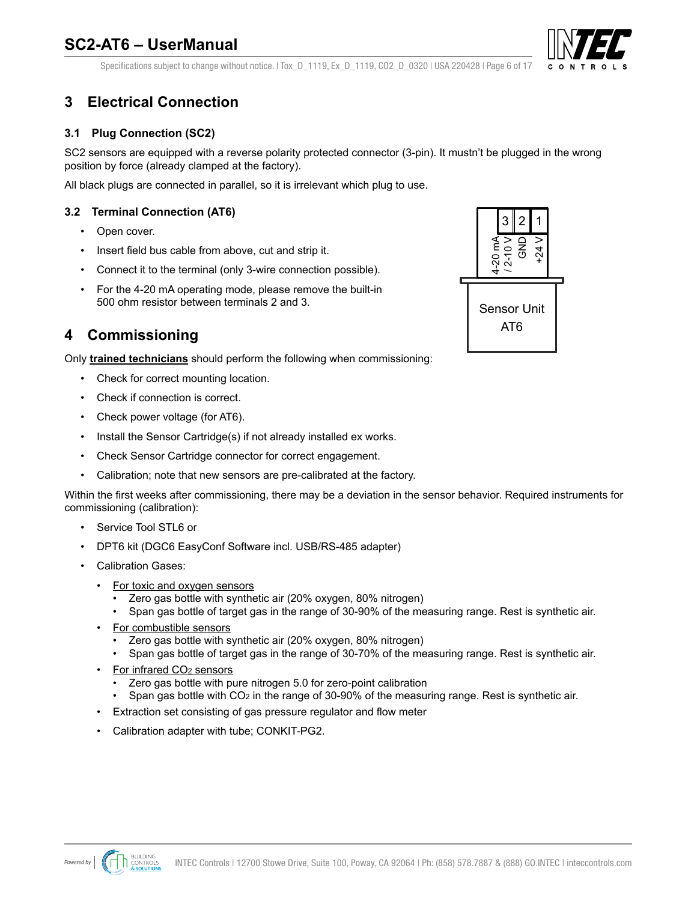

<span id="page-5-0"></span>Specifications subject to change without notice. | Tox D\_1119, Ex\_D\_1119, CO2\_D\_0320 | USA 220428 | Page 6 of 17

# **3 Electrical Connection**

### **3.1 Plug Connection (SC2)**

SC2 sensors are equipped with a reverse polarity protected connector (3-pin). It mustn't be plugged in the wrong position by force (already clamped at the factory).

All black plugs are connected in parallel, so it is irrelevant which plug to use.

### **3.2 Terminal Connection (AT6)**

- Open cover.
- Insert field bus cable from above, cut and strip it.
- Connect it to the terminal (only 3-wire connection possible).
- For the 4-20 mA operating mode, please remove the built-in 500 ohm resistor between terminals 2 and 3.

### **4 Commissioning**

Only **trained technicians** should perform the following when commissioning:

- Check for correct mounting location.
- Check if connection is correct.
- Check power voltage (for AT6).
- Install the Sensor Cartridge(s) if not already installed ex works.
- Check Sensor Cartridge connector for correct engagement.
- Calibration; note that new sensors are pre-calibrated at the factory.

Within the first weeks after commissioning, there may be a deviation in the sensor behavior. Required instruments for commissioning (calibration):

- Service Tool STL6 or
- DPT6 kit (DGC6 EasyConf Software incl. USB/RS-485 adapter)
- Calibration Gases:
	- For toxic and oxygen sensors
		- Zero gas bottle with synthetic air (20% oxygen, 80% nitrogen)
		- Span gas bottle of target gas in the range of 30-90% of the measuring range. Rest is synthetic air.
	- For combustible sensors
		- Zero gas bottle with synthetic air (20% oxygen, 80% nitrogen)
		- Span gas bottle of target gas in the range of 30-70% of the measuring range. Rest is synthetic air.
	- For infrared CO<sub>2</sub> sensors
		- Zero gas bottle with pure nitrogen 5.0 for zero-point calibration
		- Span gas bottle with CO2 in the range of 30-90% of the measuring range. Rest is synthetic air.
	- Extraction set consisting of gas pressure regulator and flow meter
	- Calibration adapter with tube; CONKIT-PG2.



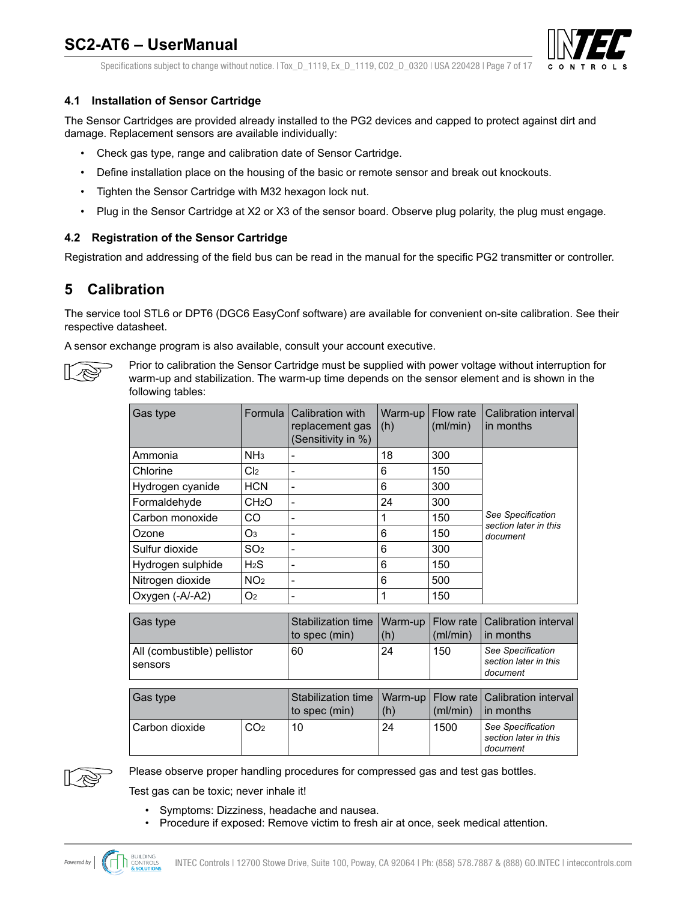

Specifications subject to change without notice. | Tox D 1119, Ex D 1119, CO2 D 0320 | USA 220428 | Page 7 of 17

### <span id="page-6-0"></span>**4.1 Installation of Sensor Cartridge**

The Sensor Cartridges are provided already installed to the PG2 devices and capped to protect against dirt and damage. Replacement sensors are available individually:

- Check gas type, range and calibration date of Sensor Cartridge.
- Define installation place on the housing of the basic or remote sensor and break out knockouts.
- Tighten the Sensor Cartridge with M32 hexagon lock nut.
- Plug in the Sensor Cartridge at X2 or X3 of the sensor board. Observe plug polarity, the plug must engage.

### **4.2 Registration of the Sensor Cartridge**

Registration and addressing of the field bus can be read in the manual for the specific PG2 transmitter or controller.

### **5 Calibration**

The service tool STL6 or DPT6 (DGC6 EasyConf software) are available for convenient on-site calibration. See their respective datasheet.

A sensor exchange program is also available, consult your account executive.



Prior to calibration the Sensor Cartridge must be supplied with power voltage without interruption for warm-up and stabilization. The warm-up time depends on the sensor element and is shown in the following tables:

| Gas type                              | Formula           | Calibration with<br>replacement gas<br>(Sensitivity in %) | Warm-up<br>(h) | Flow rate<br>(mI/min) | Calibration interval<br>in months          |  |
|---------------------------------------|-------------------|-----------------------------------------------------------|----------------|-----------------------|--------------------------------------------|--|
| Ammonia                               | NH <sub>3</sub>   | -                                                         | 18             | 300                   |                                            |  |
| Chlorine                              | Cl <sub>2</sub>   | -                                                         | 6              | 150                   |                                            |  |
| Hydrogen cyanide                      | <b>HCN</b>        | -                                                         | 6              | 300                   |                                            |  |
| Formaldehyde                          | CH <sub>2</sub> O | ۰                                                         | 24             | 300                   |                                            |  |
| Carbon monoxide                       | CO                | ۰                                                         | 1              | 150                   | See Specification<br>section later in this |  |
| Ozone                                 | O3                | -                                                         | 6              | 150                   | document                                   |  |
| Sulfur dioxide                        | SO <sub>2</sub>   | ۰                                                         | 6              | 300                   |                                            |  |
| H <sub>2</sub> S<br>Hydrogen sulphide |                   | -                                                         | 6<br>150       |                       |                                            |  |
| Nitrogen dioxide                      | NO <sub>2</sub>   | ۰                                                         | 6              | 500                   |                                            |  |
| Oxygen (-A/-A2)                       | O <sub>2</sub>    | -                                                         | 1              | 150                   |                                            |  |

| Gas type                               | to spec (min) | (h) | (ml/min) | Stabilization time   Warm-up   Flow rate   Calibration interval  <br>$\ln$ months |
|----------------------------------------|---------------|-----|----------|-----------------------------------------------------------------------------------|
| All (combustible) pellistor<br>sensors | 60            | 24  | 150      | See Specification<br>section later in this<br>document                            |

| Gas type         |                 | to spec (min) | (h) | (ml/min) | Stabilization time   Warm-up   Flow rate   Calibration interval  <br>$\ln$ months |
|------------------|-----------------|---------------|-----|----------|-----------------------------------------------------------------------------------|
| l Carbon dioxide | CO <sub>2</sub> | 10            | 24  | 1500     | See Specification<br>section later in this<br>document                            |



Please observe proper handling procedures for compressed gas and test gas bottles.

Test gas can be toxic; never inhale it!

- Symptoms: Dizziness, headache and nausea.
- Procedure if exposed: Remove victim to fresh air at once, seek medical attention.

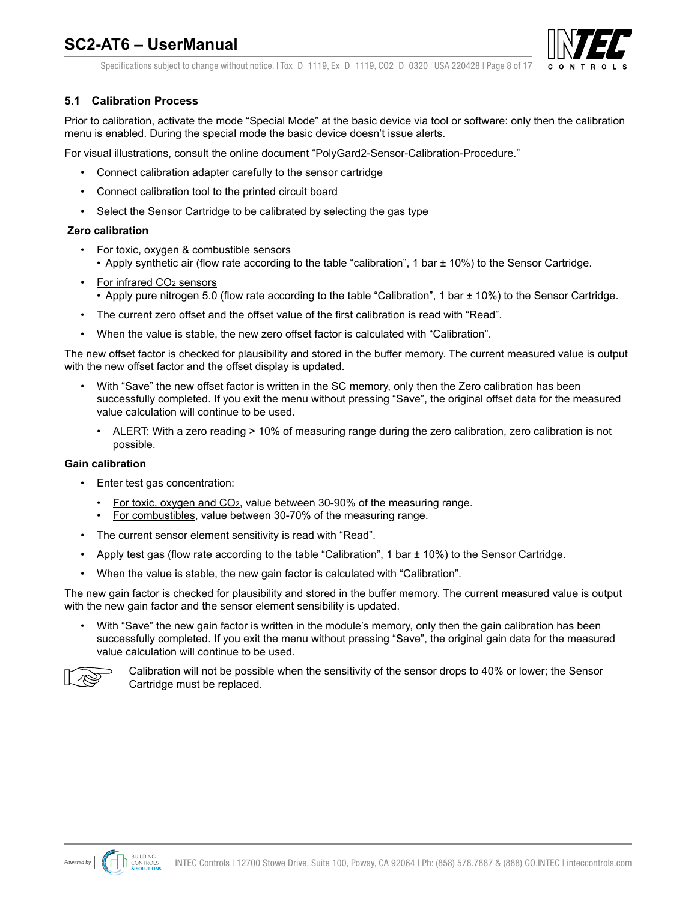

Specifications subject to change without notice. | Tox D 1119, Ex D 1119, CO2 D 0320 | USA 220428 | Page 8 of 17

### <span id="page-7-0"></span>**5.1 Calibration Process**

Prior to calibration, activate the mode "Special Mode" at the basic device via tool or software: only then the calibration menu is enabled. During the special mode the basic device doesn't issue alerts.

For visual illustrations, consult the online document "PolyGard2-Sensor-Calibration-Procedure."

- Connect calibration adapter carefully to the sensor cartridge
- Connect calibration tool to the printed circuit board
- Select the Sensor Cartridge to be calibrated by selecting the gas type

#### **Zero calibration**

- For toxic, oxygen & combustible sensors • Apply synthetic air (flow rate according to the table "calibration", 1 bar ± 10%) to the Sensor Cartridge.
- For infrared CO<sub>2</sub> sensors • Apply pure nitrogen 5.0 (flow rate according to the table "Calibration", 1 bar ± 10%) to the Sensor Cartridge.
- The current zero offset and the offset value of the first calibration is read with "Read".
- When the value is stable, the new zero offset factor is calculated with "Calibration".

The new offset factor is checked for plausibility and stored in the buffer memory. The current measured value is output with the new offset factor and the offset display is updated.

- With "Save" the new offset factor is written in the SC memory, only then the Zero calibration has been successfully completed. If you exit the menu without pressing "Save", the original offset data for the measured value calculation will continue to be used.
	- ALERT: With a zero reading > 10% of measuring range during the zero calibration, zero calibration is not possible.

#### **Gain calibration**

- Enter test gas concentration:
	- For toxic, oxygen and CO2, value between 30-90% of the measuring range.
	- For combustibles, value between 30-70% of the measuring range.
- The current sensor element sensitivity is read with "Read".
- Apply test gas (flow rate according to the table "Calibration", 1 bar ± 10%) to the Sensor Cartridge.
- When the value is stable, the new gain factor is calculated with "Calibration".

The new gain factor is checked for plausibility and stored in the buffer memory. The current measured value is output with the new gain factor and the sensor element sensibility is updated.

• With "Save" the new gain factor is written in the module's memory, only then the gain calibration has been successfully completed. If you exit the menu without pressing "Save", the original gain data for the measured value calculation will continue to be used.



Calibration will not be possible when the sensitivity of the sensor drops to 40% or lower; the Sensor Cartridge must be replaced.

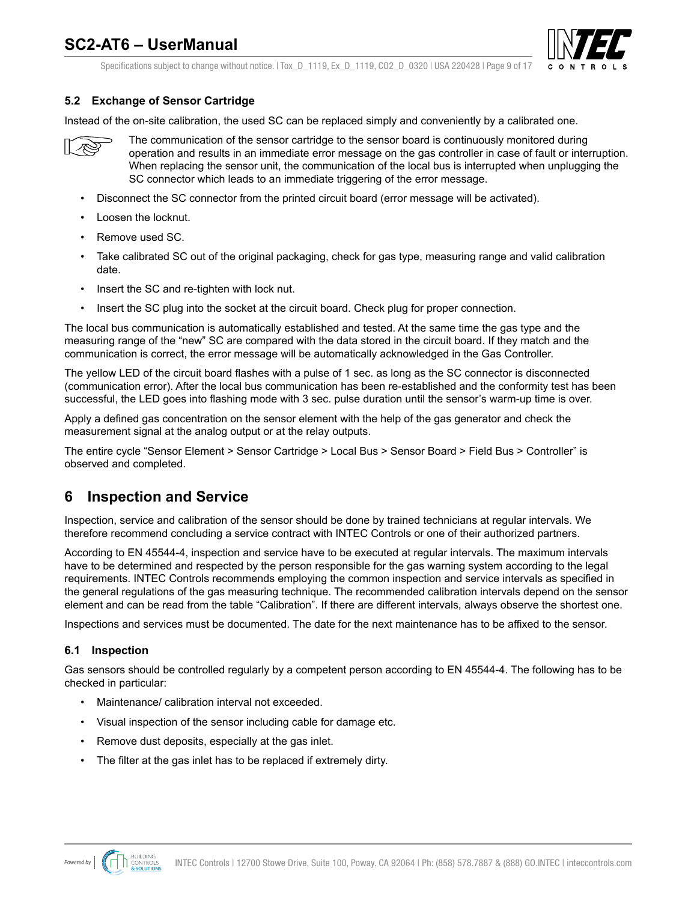

Specifications subject to change without notice. | Tox D 1119, Ex D 1119, CO2 D 0320 | USA 220428 | Page 9 of 17

### <span id="page-8-0"></span>**5.2 Exchange of Sensor Cartridge**

Instead of the on-site calibration, the used SC can be replaced simply and conveniently by a calibrated one.



The communication of the sensor cartridge to the sensor board is continuously monitored during operation and results in an immediate error message on the gas controller in case of fault or interruption. When replacing the sensor unit, the communication of the local bus is interrupted when unplugging the SC connector which leads to an immediate triggering of the error message.

- Disconnect the SC connector from the printed circuit board (error message will be activated).
- Loosen the locknut.
- Remove used SC.
- Take calibrated SC out of the original packaging, check for gas type, measuring range and valid calibration date.
- Insert the SC and re-tighten with lock nut.
- Insert the SC plug into the socket at the circuit board. Check plug for proper connection.

The local bus communication is automatically established and tested. At the same time the gas type and the measuring range of the "new" SC are compared with the data stored in the circuit board. If they match and the communication is correct, the error message will be automatically acknowledged in the Gas Controller.

The yellow LED of the circuit board flashes with a pulse of 1 sec. as long as the SC connector is disconnected (communication error). After the local bus communication has been re-established and the conformity test has been successful, the LED goes into flashing mode with 3 sec. pulse duration until the sensor's warm-up time is over.

Apply a defined gas concentration on the sensor element with the help of the gas generator and check the measurement signal at the analog output or at the relay outputs.

The entire cycle "Sensor Element > Sensor Cartridge > Local Bus > Sensor Board > Field Bus > Controller" is observed and completed.

### **6 Inspection and Service**

Inspection, service and calibration of the sensor should be done by trained technicians at regular intervals. We therefore recommend concluding a service contract with INTEC Controls or one of their authorized partners.

According to EN 45544-4, inspection and service have to be executed at regular intervals. The maximum intervals have to be determined and respected by the person responsible for the gas warning system according to the legal requirements. INTEC Controls recommends employing the common inspection and service intervals as specified in the general regulations of the gas measuring technique. The recommended calibration intervals depend on the sensor element and can be read from the table "Calibration". If there are different intervals, always observe the shortest one.

Inspections and services must be documented. The date for the next maintenance has to be affixed to the sensor.

#### **6.1 Inspection**

Gas sensors should be controlled regularly by a competent person according to EN 45544-4. The following has to be checked in particular:

- Maintenance/ calibration interval not exceeded.
- Visual inspection of the sensor including cable for damage etc.
- Remove dust deposits, especially at the gas inlet.
- The filter at the gas inlet has to be replaced if extremely dirty.

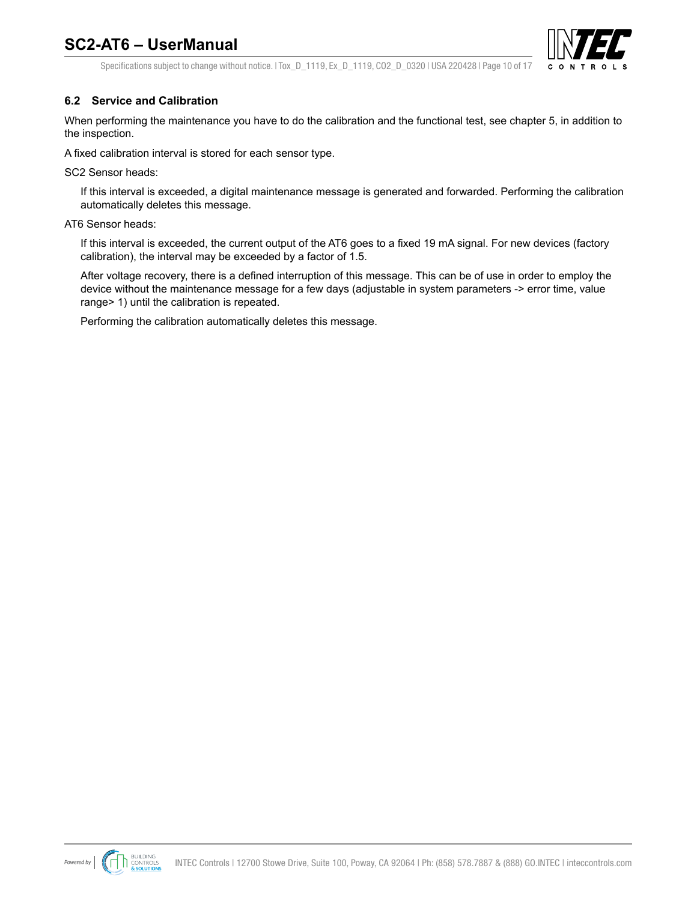

<span id="page-9-0"></span>Specifications subject to change without notice. | Tox D\_1119, Ex\_D\_1119, CO2\_D\_0320 | USA 220428 | Page 10 of 17

### **6.2 Service and Calibration**

When performing the maintenance you have to do the calibration and the functional test, see chapter 5, in addition to the inspection.

A fixed calibration interval is stored for each sensor type.

SC2 Sensor heads:

If this interval is exceeded, a digital maintenance message is generated and forwarded. Performing the calibration automatically deletes this message.

#### AT6 Sensor heads:

If this interval is exceeded, the current output of the AT6 goes to a fixed 19 mA signal. For new devices (factory calibration), the interval may be exceeded by a factor of 1.5.

After voltage recovery, there is a defined interruption of this message. This can be of use in order to employ the device without the maintenance message for a few days (adjustable in system parameters -> error time, value range> 1) until the calibration is repeated.

Performing the calibration automatically deletes this message.

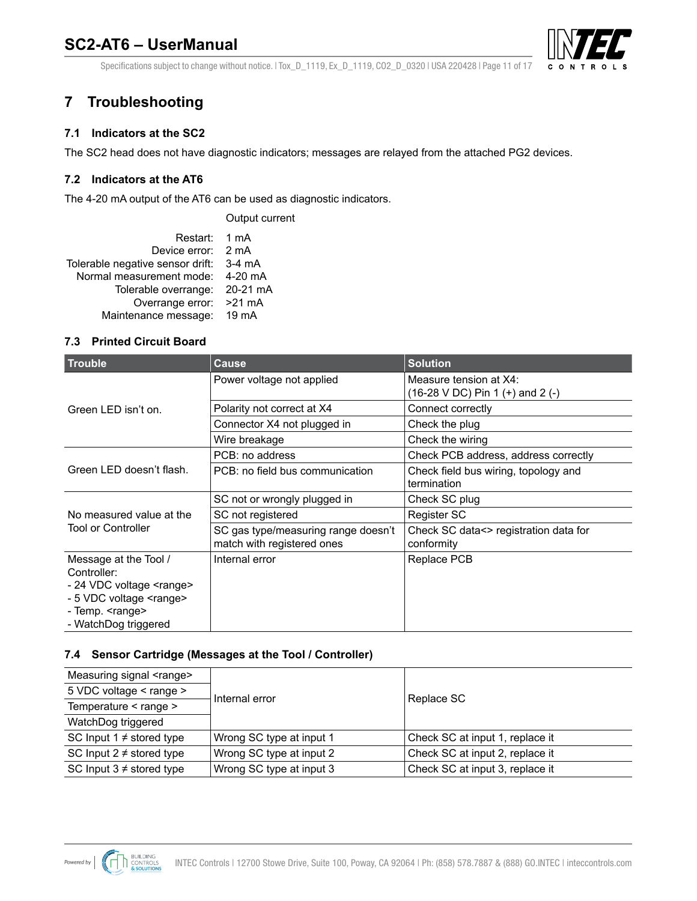

Specifications subject to change without notice. | Tox\_D\_1119, Ex\_D\_1119, CO2\_D\_0320 | USA 220428 | Page 11 of 17

# <span id="page-10-0"></span>**7 Troubleshooting**

### **7.1 Indicators at the SC2**

The SC2 head does not have diagnostic indicators; messages are relayed from the attached PG2 devices.

### **7.2 Indicators at the AT6**

The 4-20 mA output of the AT6 can be used as diagnostic indicators.

Output current Restart: 1 mA Device error: 2 mA Tolerable negative sensor drift: 3-4 mA Normal measurement mode: 4-20 mA Tolerable overrange: 20-21 mA Overrange error: >21 mA Maintenance message: 19 mA

### **7.3 Printed Circuit Board**

| <b>Trouble</b>                                                                                                                                                    | <b>Cause</b>                                                      | <b>Solution</b>                                            |
|-------------------------------------------------------------------------------------------------------------------------------------------------------------------|-------------------------------------------------------------------|------------------------------------------------------------|
|                                                                                                                                                                   | Power voltage not applied                                         | Measure tension at X4:<br>(16-28 V DC) Pin 1 (+) and 2 (-) |
| Green LED isn't on.                                                                                                                                               | Polarity not correct at X4                                        | Connect correctly                                          |
|                                                                                                                                                                   | Connector X4 not plugged in                                       | Check the plug                                             |
|                                                                                                                                                                   | Wire breakage                                                     | Check the wiring                                           |
|                                                                                                                                                                   | PCB: no address                                                   | Check PCB address, address correctly                       |
| Green LED doesn't flash.                                                                                                                                          | PCB: no field bus communication                                   | Check field bus wiring, topology and<br>termination        |
|                                                                                                                                                                   | SC not or wrongly plugged in                                      | Check SC plug                                              |
| No measured value at the                                                                                                                                          | SC not registered                                                 | Register SC                                                |
| <b>Tool or Controller</b>                                                                                                                                         | SC gas type/measuring range doesn't<br>match with registered ones | Check SC data<> registration data for<br>conformity        |
| Message at the Tool /<br>Controller:<br>- 24 VDC voltage <range><br/>- 5 VDC voltage <range><br/>- Temp. <range><br/>- WatchDog triggered</range></range></range> | Internal error                                                    | Replace PCB                                                |

### **7.4 Sensor Cartridge (Messages at the Tool / Controller)**

| Measuring signal <range></range> |                          |                                 |
|----------------------------------|--------------------------|---------------------------------|
| 5 VDC voltage < range >          | Internal error           | Replace SC                      |
| Temperature < range >            |                          |                                 |
| WatchDog triggered               |                          |                                 |
| SC Input $1 \neq$ stored type    | Wrong SC type at input 1 | Check SC at input 1, replace it |
| SC Input $2 \neq$ stored type    | Wrong SC type at input 2 | Check SC at input 2, replace it |
| SC Input $3 \neq$ stored type    | Wrong SC type at input 3 | Check SC at input 3, replace it |

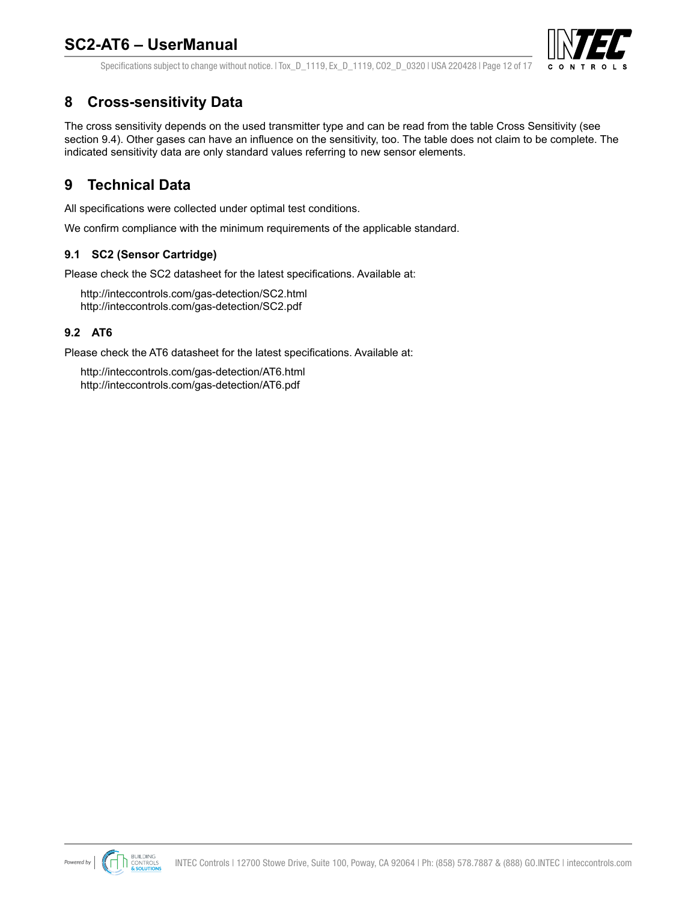

<span id="page-11-0"></span>Specifications subject to change without notice. | Tox D\_1119, Ex\_D\_1119, CO2\_D\_0320 | USA 220428 | Page 12 of 17

# **8 Cross-sensitivity Data**

The cross sensitivity depends on the used transmitter type and can be read from the table Cross Sensitivity (see section 9.4). Other gases can have an influence on the sensitivity, too. The table does not claim to be complete. The indicated sensitivity data are only standard values referring to new sensor elements.

### **9 Technical Data**

All specifications were collected under optimal test conditions.

We confirm compliance with the minimum requirements of the applicable standard.

### **9.1 SC2 (Sensor Cartridge)**

Please check the SC2 datasheet for the latest specifications. Available at:

<http://inteccontrols.com/gas-detection/SC2.html> <http://inteccontrols.com/gas-detection/SC2.pdf>

### **9.2 AT6**

Please check the AT6 datasheet for the latest specifications. Available at:

<http://inteccontrols.com/gas-detection/AT6.html> <http://inteccontrols.com/gas-detection/AT6.pdf>

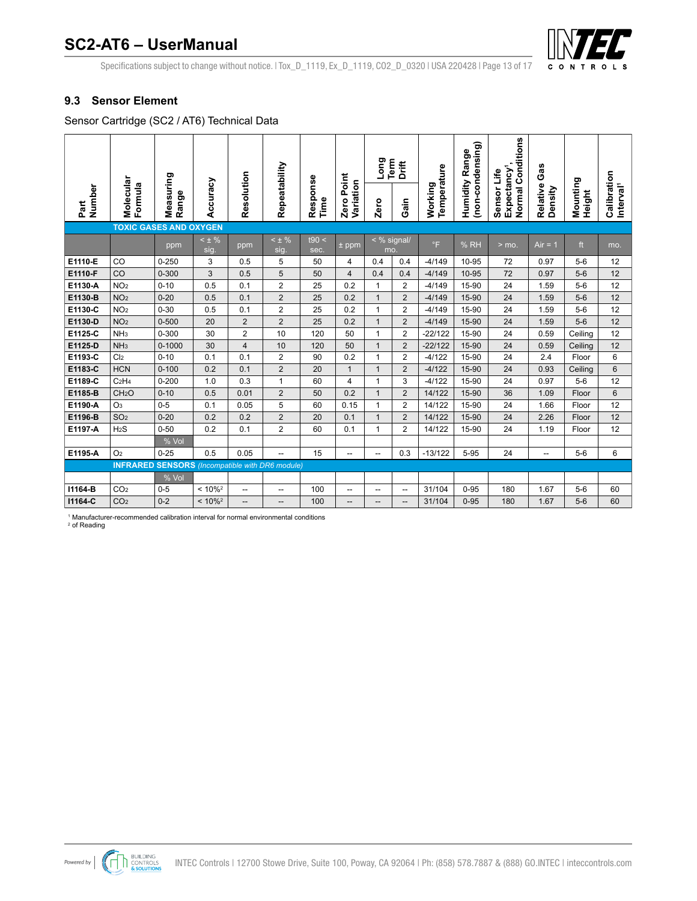

Specifications subject to change without notice. | Tox\_D\_1119, Ex\_D\_1119, CO2\_D\_0320 | USA 220428 | Page 13 of 17

### <span id="page-12-0"></span>**9.3 Sensor Element**

Sensor Cartridge (SC2 / AT6) Technical Data **SENSOR PERFORMANCE TABLE – TOXIC GAS AND OXYGEN, INFRARED SENSORS**

|                |                                                        |                    |                     |                |                    |                  |                            | Long<br>Term | Drift            |                        | (non-condensing)<br>Range | <b>Normal Conditions</b>               | Gas                 |                    |                                      |
|----------------|--------------------------------------------------------|--------------------|---------------------|----------------|--------------------|------------------|----------------------------|--------------|------------------|------------------------|---------------------------|----------------------------------------|---------------------|--------------------|--------------------------------------|
| Number<br>Part | Molecular<br>Formula                                   | Measuring<br>Range | Accuracy            | Resolution     | Repeatability      | Response<br>Time | Point<br>Variation<br>Zero | Zero         | Gain             | Temperature<br>Working | Humidity                  | Expectancy <sup>1</sup><br>Sensor Life | Relative<br>Density | Mounting<br>Height | Calibration<br>Interval <sup>1</sup> |
|                | <b>TOXIC GASES AND OXYGEN</b>                          |                    |                     |                |                    |                  |                            |              |                  |                        |                           |                                        |                     |                    |                                      |
|                |                                                        | ppm                | $<$ $\pm$ %<br>sig. | ppm            | $< \pm \%$<br>sig. | t90 <<br>sec.    | $\pm$ ppm                  | mo.          | $\leq$ % signal/ | $\circ$ F              | % RH                      | $>$ mo.                                | $Air = 1$           | ft                 | mo.                                  |
| E1110-E        | CO                                                     | $0 - 250$          | 3                   | 0.5            | 5                  | 50               | 4                          | 0.4          | 0.4              | $-4/149$               | 10-95                     | 72                                     | 0.97                | $5-6$              | 12                                   |
| E1110-F        | CO                                                     | $0 - 300$          | 3                   | 0.5            | 5                  | 50               | $\overline{4}$             | 0.4          | 0.4              | $-4/149$               | 10-95                     | 72                                     | 0.97                | $5-6$              | 12                                   |
| E1130-A        | NO <sub>2</sub>                                        | $0 - 10$           | 0.5                 | 0.1            | $\overline{2}$     | 25               | 0.2                        | 1            | 2                | $-4/149$               | 15-90                     | 24                                     | 1.59                | $5-6$              | 12                                   |
| E1130-B        | NO <sub>2</sub>                                        | $0 - 20$           | 0.5                 | 0.1            | $\overline{2}$     | 25               | 0.2                        | $\mathbf{1}$ | $\overline{2}$   | $-4/149$               | 15-90                     | 24                                     | 1.59                | $5-6$              | 12                                   |
| E1130-C        | NO <sub>2</sub>                                        | $0 - 30$           | 0.5                 | 0.1            | $\overline{2}$     | 25               | 0.2                        | 1            | $\overline{2}$   | $-4/149$               | 15-90                     | 24                                     | 1.59                | $5-6$              | 12                                   |
| E1130-D        | NO <sub>2</sub>                                        | $0 - 500$          | 20                  | $\overline{2}$ | $\overline{2}$     | 25               | 0.2                        | $\mathbf{1}$ | $\overline{2}$   | $-4/149$               | 15-90                     | 24                                     | 1.59                | $5-6$              | 12                                   |
| E1125-C        | NH <sub>3</sub>                                        | $0 - 300$          | 30                  | $\overline{2}$ | 10                 | 120              | 50                         | 1            | $\overline{2}$   | $-22/122$              | 15-90                     | 24                                     | 0.59                | Ceiling            | 12                                   |
| E1125-D        | NH <sub>3</sub>                                        | $0 - 1000$         | 30                  | 4              | 10                 | 120              | 50                         | $\mathbf{1}$ | $\overline{2}$   | $-22/122$              | 15-90                     | 24                                     | 0.59                | Ceiling            | 12                                   |
| E1193-C        | Cl <sub>2</sub>                                        | $0 - 10$           | 0.1                 | 0.1            | $\overline{2}$     | 90               | 0.2                        | 1            | $\overline{2}$   | $-4/122$               | 15-90                     | 24                                     | 2.4                 | Floor              | 6                                    |
| E1183-C        | <b>HCN</b>                                             | $0 - 100$          | 0.2                 | 0.1            | $\overline{2}$     | 20               | $\mathbf{1}$               | $\mathbf{1}$ | $\overline{2}$   | $-4/122$               | 15-90                     | 24                                     | 0.93                | Ceiling            | 6                                    |
| E1189-C        | C <sub>2</sub> H <sub>4</sub>                          | $0 - 200$          | 1.0                 | 0.3            | 1                  | 60               | $\overline{4}$             | 1            | 3                | $-4/122$               | 15-90                     | 24                                     | 0.97                | $5-6$              | 12                                   |
| E1185-B        | CH <sub>2</sub> O                                      | $0 - 10$           | 0.5                 | 0.01           | $\overline{2}$     | 50               | 0.2                        | $\mathbf{1}$ | $\overline{2}$   | 14/122                 | 15-90                     | 36                                     | 1.09                | Floor              | $6\phantom{1}6$                      |
| E1190-A        | O <sub>3</sub>                                         | $0 - 5$            | 0.1                 | 0.05           | 5                  | 60               | 0.15                       | 1            | $\overline{2}$   | 14/122                 | 15-90                     | 24                                     | 1.66                | Floor              | 12                                   |
| E1196-B        | SO <sub>2</sub>                                        | $0 - 20$           | 0.2                 | 0.2            | $\overline{2}$     | 20               | 0.1                        | $\mathbf{1}$ | $\overline{2}$   | 14/122                 | 15-90                     | 24                                     | 2.26                | Floor              | 12                                   |
| E1197-A        | H <sub>2</sub> S                                       | $0 - 50$           | 0.2                 | 0.1            | $\overline{2}$     | 60               | 0.1                        | 1            | $\overline{2}$   | 14/122                 | 15-90                     | 24                                     | 1.19                | Floor              | 12                                   |
|                |                                                        | % Vol              |                     |                |                    |                  |                            |              |                  |                        |                           |                                        |                     |                    |                                      |
| E1195-A        | O <sub>2</sub>                                         | $0 - 25$           | 0.5                 | 0.05           | --                 | 15               | --                         | --           | 0.3              | $-13/122$              | $5 - 95$                  | 24                                     | -−                  | $5-6$              | 6                                    |
|                | <b>INFRARED SENSORS</b> (Incompatible with DR6 module) |                    |                     |                |                    |                  |                            |              |                  |                        |                           |                                        |                     |                    |                                      |
|                |                                                        | % Vol              |                     |                |                    |                  |                            |              |                  |                        |                           |                                        |                     |                    |                                      |
| 11164-B        | CO <sub>2</sub>                                        | $0 - 5$            | $< 10\%^2$          | --             | --                 | 100              | --                         | --           | --               | 31/104                 | $0 - 95$                  | 180                                    | 1.67                | $5-6$              | 60                                   |
| 11164-C        | CO <sub>2</sub>                                        | $0 - 2$            | $< 10\%^2$          | --             | --                 | 100              | --                         | --           | --               | 31/104                 | $0 - 95$                  | 180                                    | 1.67                | $5-6$              | 60                                   |

1 Manufacturer-recommended calibration interval for normal environmental conditions

2 of Reading

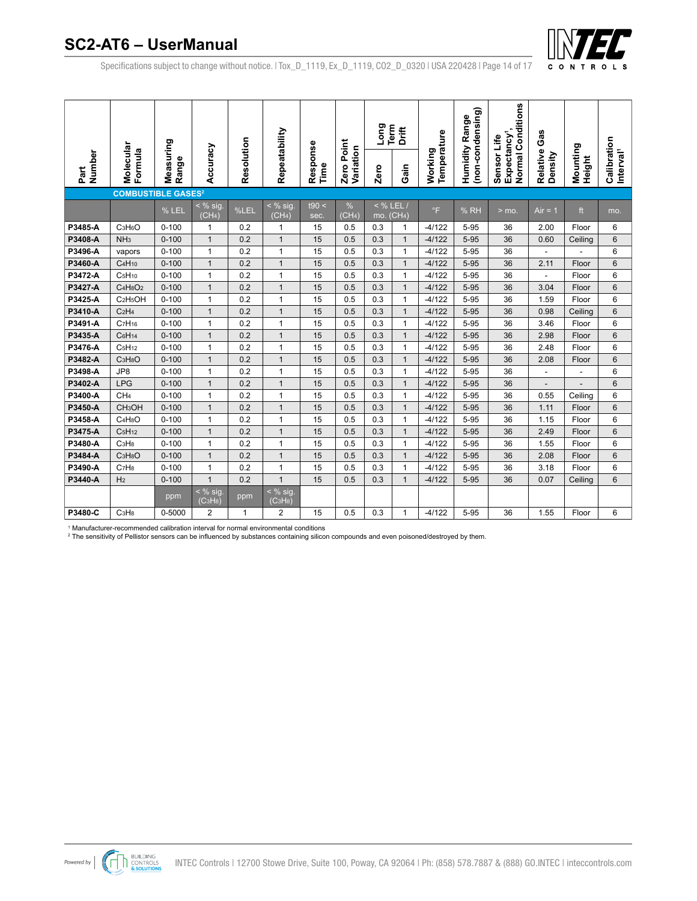

Specifications subject to change without notice. | Tox\_D\_1119, Ex\_D\_1119, CO2\_D\_0320 | USA 220428 | Page 14 of 17

|                |                                              |                    |                                               |            |                                                          |                  |                            | Long              | Term<br>Drift      |                        | (non-condensing)<br>Range | Normal Conditions                      | Gas                 |                          |                                      |
|----------------|----------------------------------------------|--------------------|-----------------------------------------------|------------|----------------------------------------------------------|------------------|----------------------------|-------------------|--------------------|------------------------|---------------------------|----------------------------------------|---------------------|--------------------------|--------------------------------------|
| Number<br>Part | Molecular<br>Formula                         | Measuring<br>Range | Accuracy                                      | Resolution | Repeatability                                            | Response<br>Time | Point<br>Variation<br>Zero | Zero              | Gain               | Temperature<br>Working | Humidity                  | Expectancy <sup>1</sup><br>Sensor Life | Relative<br>Density | Mounting<br>Height       | Calibration<br>Interval <sup>1</sup> |
|                | <b>COMBUSTIBLE GASES<sup>2</sup></b>         |                    |                                               |            |                                                          |                  |                            |                   |                    |                        |                           |                                        |                     |                          |                                      |
|                |                                              | % LEL              | $\leq$ % sig<br>(CH <sub>4</sub> )            | %LEL       | $<$ % sig.<br>(CH <sub>4</sub> )                         | t90 <<br>sec.    | %<br>(CH <sub>4</sub> )    | $<$ % LEL.<br>mo. | (CH <sub>4</sub> ) | $\circ$ F              | %RH                       | $>$ mo.                                | Air = 1             | ft                       | mo.                                  |
| P3485-A        | C <sub>3</sub> H <sub>6</sub> O              | $0 - 100$          | $\mathbf{1}$                                  | 0.2        | 1                                                        | 15               | 0.5                        | 0.3               | $\mathbf{1}$       | $-4/122$               | 5-95                      | 36                                     | 2.00                | Floor                    | 6                                    |
| P3408-A        | NH <sub>3</sub>                              | $0 - 100$          | $\mathbf{1}$                                  | 0.2        | $\mathbf{1}$                                             | 15               | 0.5                        | 0.3               | $\mathbf{1}$       | $-4/122$               | $5 - 95$                  | 36                                     | 0.60                | Ceiling                  | 6                                    |
| P3496-A        | vapors                                       | $0 - 100$          | $\mathbf{1}$                                  | 0.2        | $\mathbf{1}$                                             | 15               | 0.5                        | 0.3               | $\mathbf{1}$       | $-4/122$               | $5 - 95$                  | 36                                     | $\overline{a}$      |                          | 6                                    |
| P3460-A        | C <sub>4</sub> H <sub>10</sub>               | $0 - 100$          | $\mathbf{1}$                                  | 0.2        | $\mathbf{1}$                                             | 15               | 0.5                        | 0.3               | $\mathbf{1}$       | $-4/122$               | $5 - 95$                  | 36                                     | 2.11                | Floor                    | 6                                    |
| P3472-A        | C <sub>5</sub> H <sub>10</sub>               | $0 - 100$          | $\mathbf{1}$                                  | 0.2        | $\mathbf{1}$                                             | 15               | 0.5                        | 0.3               | $\mathbf{1}$       | $-4/122$               | $5 - 95$                  | 36                                     | ÷,                  | Floor                    | 6                                    |
| P3427-A        | C <sub>4</sub> H <sub>8</sub> O <sub>2</sub> | $0 - 100$          | $\mathbf{1}$                                  | 0.2        | $\mathbf{1}$                                             | 15               | 0.5                        | 0.3               | $\mathbf{1}$       | $-4/122$               | $5 - 95$                  | 36                                     | 3.04                | Floor                    | 6                                    |
| P3425-A        | C <sub>2</sub> H <sub>5</sub> OH             | $0 - 100$          | $\mathbf{1}$                                  | 0.2        | $\mathbf{1}$                                             | 15               | 0.5                        | 0.3               | 1                  | $-4/122$               | $5 - 95$                  | 36                                     | 1.59                | Floor                    | 6                                    |
| P3410-A        | C <sub>2</sub> H <sub>4</sub>                | $0 - 100$          | $\mathbf{1}$                                  | 0.2        | $\mathbf{1}$                                             | 15               | 0.5                        | 0.3               | $\mathbf{1}$       | $-4/122$               | 5-95                      | 36                                     | 0.98                | Ceiling                  | 6                                    |
| P3491-A        | C <sub>7</sub> H <sub>16</sub>               | $0 - 100$          | $\mathbf{1}$                                  | 0.2        | $\mathbf{1}$                                             | 15               | 0.5                        | 0.3               | $\mathbf{1}$       | $-4/122$               | $5 - 95$                  | 36                                     | 3.46                | Floor                    | 6                                    |
| P3435-A        | C <sub>6</sub> H <sub>14</sub>               | $0 - 100$          | $\mathbf{1}$                                  | 0.2        | $\mathbf{1}$                                             | 15               | 0.5                        | 0.3               | $\mathbf{1}$       | $-4/122$               | $5 - 95$                  | 36                                     | 2.98                | Floor                    | 6                                    |
| P3476-A        | C <sub>5</sub> H <sub>12</sub>               | $0 - 100$          | $\mathbf{1}$                                  | 0.2        | $\mathbf{1}$                                             | 15               | 0.5                        | 0.3               | $\mathbf{1}$       | $-4/122$               | $5 - 95$                  | 36                                     | 2.48                | Floor                    | 6                                    |
| P3482-A        | C <sub>3</sub> H <sub>8</sub> O              | $0 - 100$          | $\mathbf{1}$                                  | 0.2        | $\mathbf{1}$                                             | 15               | 0.5                        | 0.3               | $\mathbf{1}$       | $-4/122$               | $5 - 95$                  | 36                                     | 2.08                | Floor                    | 6                                    |
| P3498-A        | JP8                                          | $0 - 100$          | $\mathbf{1}$                                  | 0.2        | $\mathbf{1}$                                             | 15               | 0.5                        | 0.3               | $\mathbf{1}$       | $-4/122$               | $5 - 95$                  | 36                                     | $\blacksquare$      | L,                       | 6                                    |
| P3402-A        | <b>LPG</b>                                   | $0 - 100$          | $\mathbf{1}$                                  | 0.2        | $\mathbf{1}$                                             | 15               | 0.5                        | 0.3               | $\mathbf{1}$       | $-4/122$               | 5-95                      | 36                                     | $\overline{a}$      | $\overline{\phantom{0}}$ | 6                                    |
| P3400-A        | CH <sub>4</sub>                              | $0 - 100$          | $\mathbf{1}$                                  | 0.2        | $\mathbf{1}$                                             | 15               | 0.5                        | 0.3               | $\mathbf{1}$       | $-4/122$               | $5 - 95$                  | 36                                     | 0.55                | Ceilina                  | 6                                    |
| P3450-A        | CH <sub>3</sub> OH                           | $0 - 100$          | $\mathbf{1}$                                  | 0.2        | $\mathbf{1}$                                             | 15               | 0.5                        | 0.3               | $\mathbf{1}$       | $-4/122$               | $5 - 95$                  | 36                                     | 1.11                | Floor                    | 6                                    |
| P3458-A        | $C_4H_8O$                                    | $0 - 100$          | $\mathbf{1}$                                  | 0.2        | 1                                                        | 15               | 0.5                        | 0.3               | $\mathbf{1}$       | $-4/122$               | $5 - 95$                  | 36                                     | 1.15                | Floor                    | 6                                    |
| P3475-A        | C <sub>5</sub> H <sub>12</sub>               | $0 - 100$          | $\mathbf{1}$                                  | 0.2        | $\mathbf{1}$                                             | 15               | 0.5                        | 0.3               | $\mathbf{1}$       | $-4/122$               | $5 - 95$                  | 36                                     | 2.49                | Floor                    | 6                                    |
| P3480-A        | C <sub>3</sub> H <sub>8</sub>                | $0 - 100$          | $\mathbf{1}$                                  | 0.2        | $\mathbf{1}$                                             | 15               | 0.5                        | 0.3               | $\mathbf{1}$       | $-4/122$               | $5 - 95$                  | 36                                     | 1.55                | Floor                    | 6                                    |
| P3484-A        | C <sub>3</sub> H <sub>8</sub> O              | $0 - 100$          | $\mathbf{1}$                                  | 0.2        | $\mathbf{1}$                                             | 15               | 0.5                        | 0.3               | $\mathbf{1}$       | $-4/122$               | 5-95                      | 36                                     | 2.08                | Floor                    | 6                                    |
| P3490-A        | C <sub>7</sub> H <sub>8</sub>                | $0 - 100$          | $\mathbf{1}$                                  | 0.2        | $\mathbf{1}$                                             | 15               | 0.5                        | 0.3               | $\mathbf{1}$       | $-4/122$               | $5 - 95$                  | 36                                     | 3.18                | Floor                    | 6                                    |
| P3440-A        | H <sub>2</sub>                               | $0 - 100$          | $\mathbf{1}$                                  | 0.2        | $\mathbf{1}$                                             | 15               | 0.5                        | 0.3               | $\mathbf{1}$       | $-4/122$               | $5 - 95$                  | 36                                     | 0.07                | Ceiling                  | 6                                    |
|                |                                              | ppm                | $<$ % sig<br>(C <sub>3</sub> H <sub>8</sub> ) | ppm        | $\frac{1}{2}$ % sig.<br>(C <sub>3</sub> H <sub>8</sub> ) |                  |                            |                   |                    |                        |                           |                                        |                     |                          |                                      |
| P3480-C        | C <sub>3</sub> H <sub>8</sub>                | 0-5000             | $\overline{2}$                                | 1          | 2                                                        | 15               | 0.5                        | 0.3               | 1                  | $-4/122$               | $5 - 95$                  | 36                                     | 1.55                | Floor                    | 6                                    |

1 Manufacturer-recommended calibration interval for normal environmental conditions

 $^{\rm 2}$  The sensitivity of Pellistor sensors can be influenced by substances containing silicon compounds and even poisoned/destroyed by them.

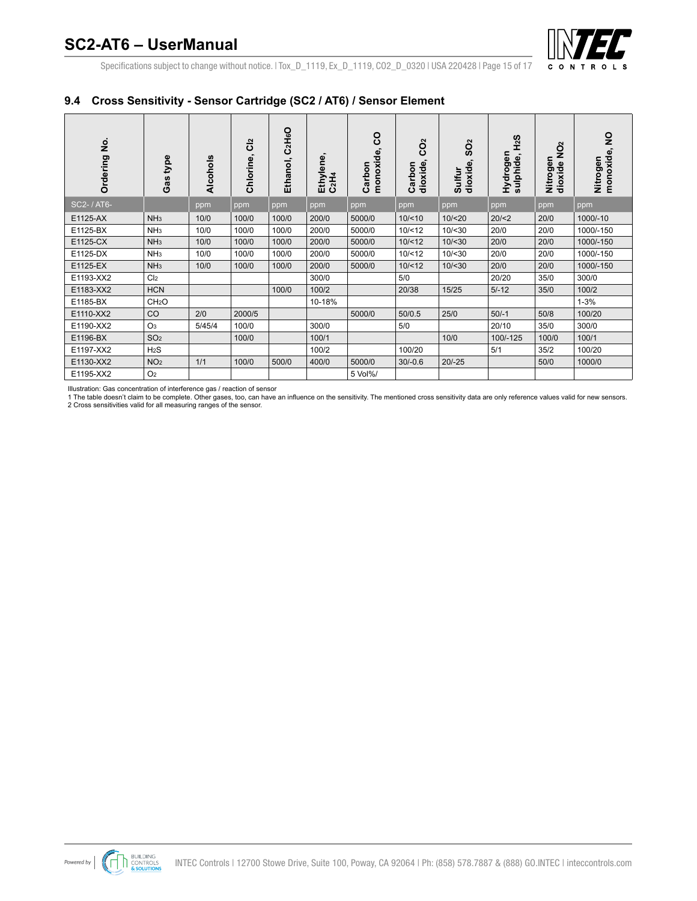

Specifications subject to change without notice. | Tox\_D\_1119, Ex\_D\_1119, CO2\_D\_0320 | USA 220428 | Page 15 of 17

### <span id="page-14-0"></span>**9.4 Cross Sensitivity - Sensor Cartridge (SC2 / AT6) / Sensor Element**

| غ<br>ع<br>Ordering | type<br>Gas       | Alcohols | C <sub>12</sub><br>Chlorine, | C <sub>2</sub> H <sub>6</sub> O<br>Ethanol, | Ethylene,<br>C <sub>2</sub> H <sub>4</sub> | <u>င</u><br>monoxide,<br>Carbon | $\sim$<br>ဥ<br>dioxide<br>Carbon | $\mathbf{a}$<br>င္တ<br>Φ<br>dioxid<br>Sulfur | SzH<br>Hydrogen<br>$\blacksquare$<br>sulphide | $\tilde{Q}$<br>Nitrogen<br>dioxide | $\frac{1}{2}$<br>monoxide,<br>Nitrogen |
|--------------------|-------------------|----------|------------------------------|---------------------------------------------|--------------------------------------------|---------------------------------|----------------------------------|----------------------------------------------|-----------------------------------------------|------------------------------------|----------------------------------------|
| SC2- / AT6-        |                   | ppm      | ppm                          | ppm                                         | ppm                                        | ppm                             | ppm                              | ppm                                          | ppm                                           | ppm                                | ppm                                    |
| E1125-AX           | NH <sub>3</sub>   | 10/0     | 100/0                        | 100/0                                       | 200/0                                      | 5000/0                          | 10/ < 10                         | 10/20                                        | 20/2                                          | 20/0                               | 1000/-10                               |
| E1125-BX           | NH <sub>3</sub>   | 10/0     | 100/0                        | 100/0                                       | 200/0                                      | 5000/0                          | 10/12                            | 10/ < 30                                     | 20/0                                          | 20/0                               | 1000/-150                              |
| E1125-CX           | NH <sub>3</sub>   | 10/0     | 100/0                        | 100/0                                       | 200/0                                      | 5000/0                          | 10/12                            | 10 / < 30                                    | 20/0                                          | 20/0                               | 1000/-150                              |
| E1125-DX           | NH <sub>3</sub>   | 10/0     | 100/0                        | 100/0                                       | 200/0                                      | 5000/0                          | 10/12                            | 10/ < 30                                     | 20/0                                          | 20/0                               | 1000/-150                              |
| E1125-EX           | NH <sub>3</sub>   | 10/0     | 100/0                        | 100/0                                       | 200/0                                      | 5000/0                          | 10/12                            | 10 / < 30                                    | 20/0                                          | 20/0                               | 1000/-150                              |
| E1193-XX2          | Cl <sub>2</sub>   |          |                              |                                             | 300/0                                      |                                 | 5/0                              |                                              | 20/20                                         | 35/0                               | 300/0                                  |
| E1183-XX2          | <b>HCN</b>        |          |                              | 100/0                                       | 100/2                                      |                                 | 20/38                            | 15/25                                        | $5/-12$                                       | 35/0                               | 100/2                                  |
| E1185-BX           | CH <sub>2</sub> O |          |                              |                                             | 10-18%                                     |                                 |                                  |                                              |                                               |                                    | $1 - 3%$                               |
| E1110-XX2          | CO                | 2/0      | 2000/5                       |                                             |                                            | 5000/0                          | 50/0.5                           | 25/0                                         | $50/-1$                                       | 50/8                               | 100/20                                 |
| E1190-XX2          | O <sub>3</sub>    | 5/45/4   | 100/0                        |                                             | 300/0                                      |                                 | 5/0                              |                                              | 20/10                                         | 35/0                               | 300/0                                  |
| E1196-BX           | SO <sub>2</sub>   |          | 100/0                        |                                             | 100/1                                      |                                 |                                  | 10/0                                         | 100/-125                                      | 100/0                              | 100/1                                  |
| E1197-XX2          | H <sub>2</sub> S  |          |                              |                                             | 100/2                                      |                                 | 100/20                           |                                              | 5/1                                           | 35/2                               | 100/20                                 |
| E1130-XX2          | NO <sub>2</sub>   | 1/1      | 100/0                        | 500/0                                       | 400/0                                      | 5000/0                          | $30/-0.6$                        | $20/-25$                                     |                                               | 50/0                               | 1000/0                                 |
| E1195-XX2          | O <sub>2</sub>    |          |                              |                                             |                                            | 5 Vol%/                         |                                  |                                              |                                               |                                    |                                        |

lllustration: Gas concentration of interference gas / reaction of sensor<br>1 The table doesn't claim to be complete. Other gases, too, can have an influence on the sensitivity. The mentioned cross sensitivity data are only r 2 Cross sensitivities valid for all measuring ranges of the sensor.

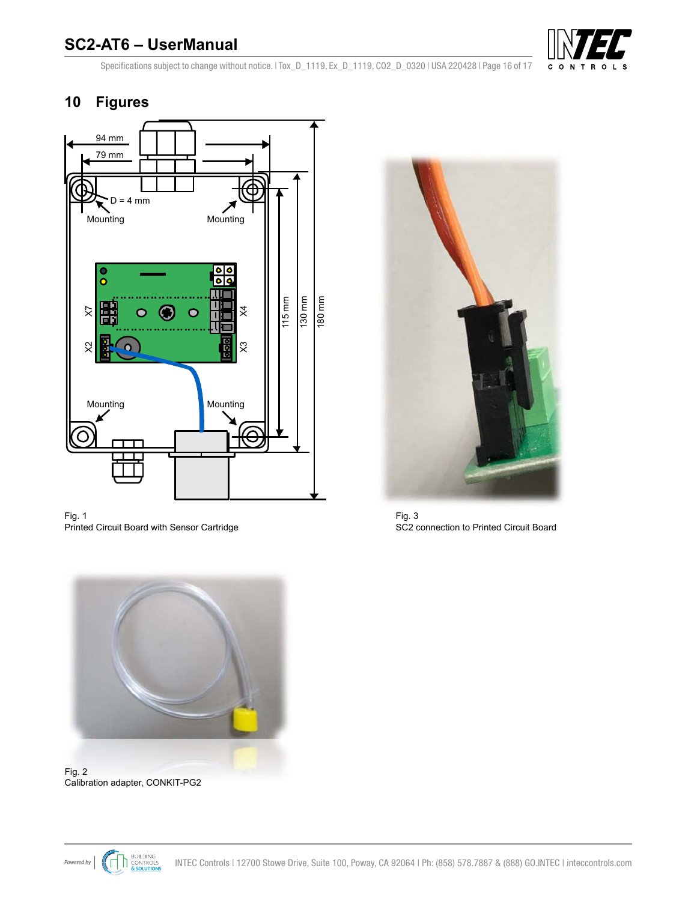

<span id="page-15-0"></span>Specifications subject to change without notice. | Tox\_D\_1119, Ex\_D\_1119, CO2\_D\_0320 | USA 220428 | Page 16 of 17

## **10 Figures**



Fig. 1 Printed Circuit Board with Sensor Cartridge



Fig. 3 SC2 connection to Printed Circuit Board



Fig. 2 Calibration adapter, CONKIT-PG2